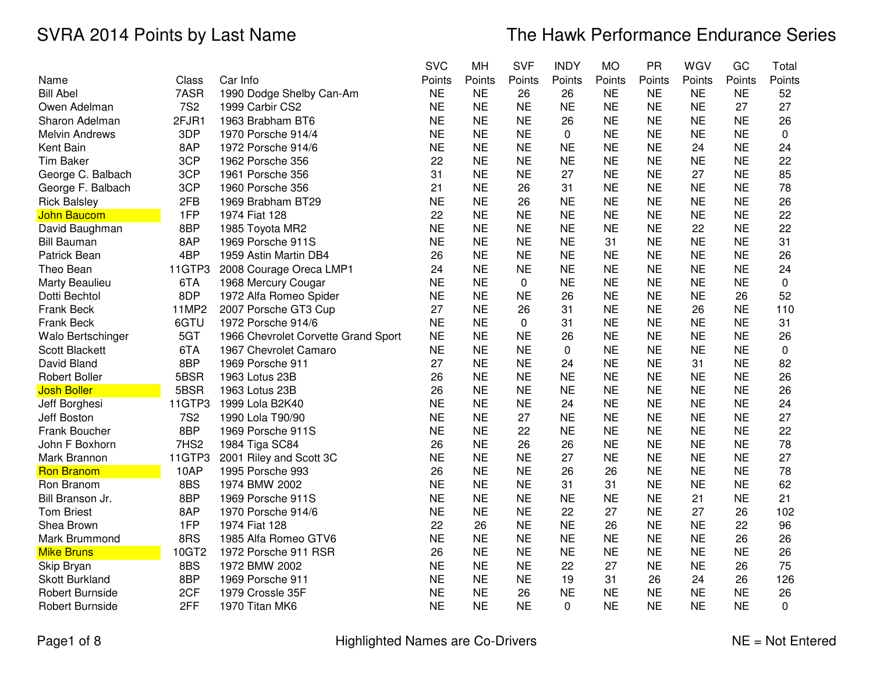|                        |            |                                     | <b>SVC</b> | MH        | <b>SVF</b> | <b>INDY</b> | <b>MO</b> | <b>PR</b> | WGV       | GC        | Total       |
|------------------------|------------|-------------------------------------|------------|-----------|------------|-------------|-----------|-----------|-----------|-----------|-------------|
| Name                   | Class      | Car Info                            | Points     | Points    | Points     | Points      | Points    | Points    | Points    | Points    | Points      |
| <b>Bill Abel</b>       | 7ASR       | 1990 Dodge Shelby Can-Am            | <b>NE</b>  | <b>NE</b> | 26         | 26          | <b>NE</b> | <b>NE</b> | <b>NE</b> | <b>NE</b> | 52          |
| Owen Adelman           | <b>7S2</b> | 1999 Carbir CS2                     | <b>NE</b>  | <b>NE</b> | <b>NE</b>  | <b>NE</b>   | <b>NE</b> | <b>NE</b> | <b>NE</b> | 27        | 27          |
| Sharon Adelman         | 2FJR1      | 1963 Brabham BT6                    | <b>NE</b>  | <b>NE</b> | <b>NE</b>  | 26          | <b>NE</b> | <b>NE</b> | <b>NE</b> | <b>NE</b> | 26          |
| <b>Melvin Andrews</b>  | 3DP        | 1970 Porsche 914/4                  | <b>NE</b>  | <b>NE</b> | <b>NE</b>  | 0           | <b>NE</b> | <b>NE</b> | <b>NE</b> | <b>NE</b> | 0           |
| Kent Bain              | 8AP        | 1972 Porsche 914/6                  | <b>NE</b>  | <b>NE</b> | <b>NE</b>  | <b>NE</b>   | <b>NE</b> | <b>NE</b> | 24        | <b>NE</b> | 24          |
| <b>Tim Baker</b>       | 3CP        | 1962 Porsche 356                    | 22         | <b>NE</b> | <b>NE</b>  | <b>NE</b>   | <b>NE</b> | <b>NE</b> | <b>NE</b> | <b>NE</b> | 22          |
| George C. Balbach      | 3CP        | 1961 Porsche 356                    | 31         | <b>NE</b> | <b>NE</b>  | 27          | <b>NE</b> | <b>NE</b> | 27        | <b>NE</b> | 85          |
| George F. Balbach      | 3CP        | 1960 Porsche 356                    | 21         | <b>NE</b> | 26         | 31          | <b>NE</b> | <b>NE</b> | <b>NE</b> | <b>NE</b> | 78          |
| <b>Rick Balsley</b>    | 2FB        | 1969 Brabham BT29                   | <b>NE</b>  | <b>NE</b> | 26         | <b>NE</b>   | <b>NE</b> | <b>NE</b> | <b>NE</b> | <b>NE</b> | 26          |
| <b>John Baucom</b>     | 1FP        | 1974 Fiat 128                       | 22         | <b>NE</b> | <b>NE</b>  | <b>NE</b>   | <b>NE</b> | <b>NE</b> | <b>NE</b> | <b>NE</b> | 22          |
| David Baughman         | 8BP        | 1985 Toyota MR2                     | <b>NE</b>  | <b>NE</b> | <b>NE</b>  | <b>NE</b>   | <b>NE</b> | <b>NE</b> | 22        | <b>NE</b> | 22          |
| <b>Bill Bauman</b>     | 8AP        | 1969 Porsche 911S                   | <b>NE</b>  | <b>NE</b> | <b>NE</b>  | <b>NE</b>   | 31        | <b>NE</b> | <b>NE</b> | <b>NE</b> | 31          |
| Patrick Bean           | 4BP        | 1959 Astin Martin DB4               | 26         | <b>NE</b> | <b>NE</b>  | <b>NE</b>   | <b>NE</b> | <b>NE</b> | <b>NE</b> | <b>NE</b> | 26          |
| Theo Bean              | 11GTP3     | 2008 Courage Oreca LMP1             | 24         | <b>NE</b> | <b>NE</b>  | <b>NE</b>   | <b>NE</b> | <b>NE</b> | <b>NE</b> | <b>NE</b> | 24          |
| Marty Beaulieu         | 6TA        | 1968 Mercury Cougar                 | <b>NE</b>  | <b>NE</b> | $\pmb{0}$  | <b>NE</b>   | <b>NE</b> | <b>NE</b> | <b>NE</b> | <b>NE</b> | $\pmb{0}$   |
| Dotti Bechtol          | 8DP        | 1972 Alfa Romeo Spider              | <b>NE</b>  | <b>NE</b> | <b>NE</b>  | 26          | <b>NE</b> | <b>NE</b> | <b>NE</b> | 26        | 52          |
| Frank Beck             | 11MP2      | 2007 Porsche GT3 Cup                | 27         | <b>NE</b> | 26         | 31          | <b>NE</b> | <b>NE</b> | 26        | <b>NE</b> | 110         |
| <b>Frank Beck</b>      | 6GTU       | 1972 Porsche 914/6                  | <b>NE</b>  | <b>NE</b> | 0          | 31          | <b>NE</b> | <b>NE</b> | <b>NE</b> | <b>NE</b> | 31          |
| Walo Bertschinger      | 5GT        | 1966 Chevrolet Corvette Grand Sport | <b>NE</b>  | <b>NE</b> | <b>NE</b>  | 26          | <b>NE</b> | <b>NE</b> | <b>NE</b> | <b>NE</b> | 26          |
| <b>Scott Blackett</b>  | 6TA        | 1967 Chevrolet Camaro               | <b>NE</b>  | <b>NE</b> | <b>NE</b>  | 0           | <b>NE</b> | <b>NE</b> | <b>NE</b> | <b>NE</b> | 0           |
| David Bland            | 8BP        | 1969 Porsche 911                    | 27         | <b>NE</b> | <b>NE</b>  | 24          | <b>NE</b> | <b>NE</b> | 31        | <b>NE</b> | 82          |
| <b>Robert Boller</b>   | 5BSR       | 1963 Lotus 23B                      | 26         | <b>NE</b> | <b>NE</b>  | <b>NE</b>   | <b>NE</b> | <b>NE</b> | <b>NE</b> | <b>NE</b> | 26          |
| <b>Josh Boller</b>     | 5BSR       | 1963 Lotus 23B                      | 26         | <b>NE</b> | <b>NE</b>  | <b>NE</b>   | <b>NE</b> | <b>NE</b> | <b>NE</b> | <b>NE</b> | 26          |
| Jeff Borghesi          | 11GTP3     | 1999 Lola B2K40                     | <b>NE</b>  | <b>NE</b> | <b>NE</b>  | 24          | <b>NE</b> | <b>NE</b> | <b>NE</b> | <b>NE</b> | 24          |
| Jeff Boston            | <b>7S2</b> | 1990 Lola T90/90                    | <b>NE</b>  | <b>NE</b> | 27         | <b>NE</b>   | <b>NE</b> | <b>NE</b> | <b>NE</b> | <b>NE</b> | 27          |
| Frank Boucher          | 8BP        | 1969 Porsche 911S                   | <b>NE</b>  | <b>NE</b> | 22         | <b>NE</b>   | <b>NE</b> | <b>NE</b> | <b>NE</b> | <b>NE</b> | 22          |
| John F Boxhorn         | 7HS2       | 1984 Tiga SC84                      | 26         | <b>NE</b> | 26         | 26          | <b>NE</b> | <b>NE</b> | <b>NE</b> | <b>NE</b> | 78          |
| Mark Brannon           | 11GTP3     | 2001 Riley and Scott 3C             | <b>NE</b>  | <b>NE</b> | <b>NE</b>  | 27          | <b>NE</b> | <b>NE</b> | <b>NE</b> | <b>NE</b> | 27          |
| <b>Ron Branom</b>      | 10AP       | 1995 Porsche 993                    | 26         | <b>NE</b> | <b>NE</b>  | 26          | 26        | <b>NE</b> | <b>NE</b> | <b>NE</b> | 78          |
| Ron Branom             | 8BS        | 1974 BMW 2002                       | <b>NE</b>  | <b>NE</b> | <b>NE</b>  | 31          | 31        | <b>NE</b> | <b>NE</b> | <b>NE</b> | 62          |
| Bill Branson Jr.       | 8BP        | 1969 Porsche 911S                   | <b>NE</b>  | <b>NE</b> | <b>NE</b>  | <b>NE</b>   | <b>NE</b> | <b>NE</b> | 21        | <b>NE</b> | 21          |
| <b>Tom Briest</b>      | 8AP        | 1970 Porsche 914/6                  | <b>NE</b>  | <b>NE</b> | <b>NE</b>  | 22          | 27        | <b>NE</b> | 27        | 26        | 102         |
| Shea Brown             | 1FP        | 1974 Fiat 128                       | 22         | 26        | <b>NE</b>  | <b>NE</b>   | 26        | <b>NE</b> | <b>NE</b> | 22        | 96          |
| Mark Brummond          | 8RS        | 1985 Alfa Romeo GTV6                | <b>NE</b>  | <b>NE</b> | <b>NE</b>  | <b>NE</b>   | <b>NE</b> | <b>NE</b> | <b>NE</b> | 26        | 26          |
| <b>Mike Bruns</b>      | 10GT2      | 1972 Porsche 911 RSR                | 26         | <b>NE</b> | <b>NE</b>  | <b>NE</b>   | <b>NE</b> | <b>NE</b> | <b>NE</b> | <b>NE</b> | 26          |
| Skip Bryan             | 8BS        | 1972 BMW 2002                       | <b>NE</b>  | <b>NE</b> | <b>NE</b>  | 22          | 27        | <b>NE</b> | <b>NE</b> | 26        | 75          |
| <b>Skott Burkland</b>  | 8BP        | 1969 Porsche 911                    | <b>NE</b>  | <b>NE</b> | <b>NE</b>  | 19          | 31        | 26        | 24        | 26        | 126         |
| Robert Burnside        | 2CF        | 1979 Crossle 35F                    | <b>NE</b>  | <b>NE</b> | 26         | <b>NE</b>   | <b>NE</b> | <b>NE</b> | <b>NE</b> | <b>NE</b> | 26          |
| <b>Robert Burnside</b> | 2FF        | 1970 Titan MK6                      | <b>NE</b>  | <b>NE</b> | <b>NE</b>  | 0           | <b>NE</b> | <b>NE</b> | <b>NE</b> | <b>NE</b> | $\mathbf 0$ |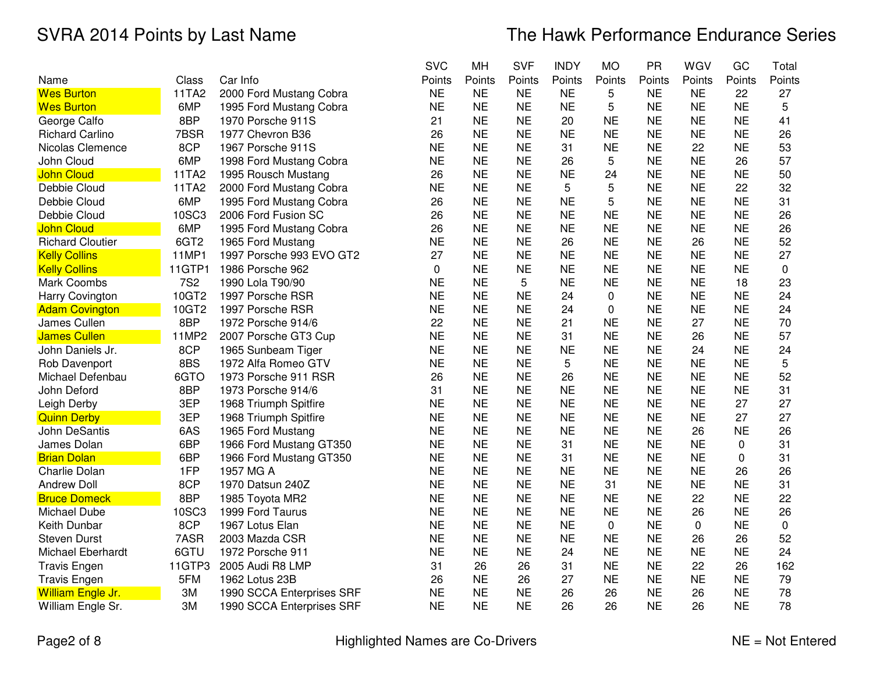|                         |                  |                           | <b>SVC</b> | MH        | <b>SVF</b> | <b>INDY</b> | <b>MO</b> | PR        | WGV       | GC        | Total       |
|-------------------------|------------------|---------------------------|------------|-----------|------------|-------------|-----------|-----------|-----------|-----------|-------------|
| Name                    | Class            | Car Info                  | Points     | Points    | Points     | Points      | Points    | Points    | Points    | Points    | Points      |
| <b>Wes Burton</b>       | 11TA2            | 2000 Ford Mustang Cobra   | <b>NE</b>  | <b>NE</b> | <b>NE</b>  | <b>NE</b>   | 5         | <b>NE</b> | <b>NE</b> | 22        | 27          |
| <b>Wes Burton</b>       | 6MP              | 1995 Ford Mustang Cobra   | <b>NE</b>  | <b>NE</b> | <b>NE</b>  | <b>NE</b>   | 5         | <b>NE</b> | <b>NE</b> | <b>NE</b> | 5           |
| George Calfo            | 8BP              | 1970 Porsche 911S         | 21         | <b>NE</b> | <b>NE</b>  | 20          | <b>NE</b> | <b>NE</b> | <b>NE</b> | <b>NE</b> | 41          |
| <b>Richard Carlino</b>  | 7BSR             | 1977 Chevron B36          | 26         | <b>NE</b> | <b>NE</b>  | <b>NE</b>   | <b>NE</b> | <b>NE</b> | <b>NE</b> | <b>NE</b> | 26          |
| Nicolas Clemence        | 8CP              | 1967 Porsche 911S         | <b>NE</b>  | <b>NE</b> | <b>NE</b>  | 31          | <b>NE</b> | <b>NE</b> | 22        | <b>NE</b> | 53          |
| John Cloud              | 6MP              | 1998 Ford Mustang Cobra   | <b>NE</b>  | <b>NE</b> | <b>NE</b>  | 26          | 5         | <b>NE</b> | <b>NE</b> | 26        | 57          |
| <b>John Cloud</b>       | 11TA2            | 1995 Rousch Mustang       | 26         | <b>NE</b> | <b>NE</b>  | <b>NE</b>   | 24        | <b>NE</b> | <b>NE</b> | <b>NE</b> | 50          |
| Debbie Cloud            | 11TA2            | 2000 Ford Mustang Cobra   | <b>NE</b>  | <b>NE</b> | <b>NE</b>  | 5           | 5         | <b>NE</b> | <b>NE</b> | 22        | 32          |
| Debbie Cloud            | 6MP              | 1995 Ford Mustang Cobra   | 26         | <b>NE</b> | <b>NE</b>  | <b>NE</b>   | 5         | <b>NE</b> | <b>NE</b> | <b>NE</b> | 31          |
| Debbie Cloud            | 10SC3            | 2006 Ford Fusion SC       | 26         | <b>NE</b> | <b>NE</b>  | <b>NE</b>   | <b>NE</b> | <b>NE</b> | <b>NE</b> | <b>NE</b> | 26          |
| <b>John Cloud</b>       | 6MP              | 1995 Ford Mustang Cobra   | 26         | <b>NE</b> | <b>NE</b>  | <b>NE</b>   | <b>NE</b> | <b>NE</b> | <b>NE</b> | <b>NE</b> | 26          |
| <b>Richard Cloutier</b> | 6GT <sub>2</sub> | 1965 Ford Mustang         | <b>NE</b>  | <b>NE</b> | <b>NE</b>  | 26          | <b>NE</b> | <b>NE</b> | 26        | <b>NE</b> | 52          |
| <b>Kelly Collins</b>    | 11MP1            | 1997 Porsche 993 EVO GT2  | 27         | <b>NE</b> | <b>NE</b>  | <b>NE</b>   | <b>NE</b> | <b>NE</b> | <b>NE</b> | <b>NE</b> | 27          |
| <b>Kelly Collins</b>    | 11GTP1           | 1986 Porsche 962          | $\Omega$   | <b>NE</b> | <b>NE</b>  | <b>NE</b>   | <b>NE</b> | <b>NE</b> | <b>NE</b> | <b>NE</b> | 0           |
| <b>Mark Coombs</b>      | <b>7S2</b>       | 1990 Lola T90/90          | <b>NE</b>  | <b>NE</b> | 5          | <b>NE</b>   | <b>NE</b> | <b>NE</b> | <b>NE</b> | 18        | 23          |
| Harry Covington         | 10GT2            | 1997 Porsche RSR          | <b>NE</b>  | <b>NE</b> | <b>NE</b>  | 24          | 0         | <b>NE</b> | <b>NE</b> | <b>NE</b> | 24          |
| <b>Adam Covington</b>   | 10GT2            | 1997 Porsche RSR          | <b>NE</b>  | <b>NE</b> | <b>NE</b>  | 24          | 0         | <b>NE</b> | <b>NE</b> | <b>NE</b> | 24          |
| James Cullen            | 8BP              | 1972 Porsche 914/6        | 22         | <b>NE</b> | <b>NE</b>  | 21          | <b>NE</b> | <b>NE</b> | 27        | <b>NE</b> | 70          |
| <b>James Cullen</b>     | 11MP2            | 2007 Porsche GT3 Cup      | <b>NE</b>  | <b>NE</b> | <b>NE</b>  | 31          | <b>NE</b> | <b>NE</b> | 26        | <b>NE</b> | 57          |
| John Daniels Jr.        | 8CP              | 1965 Sunbeam Tiger        | <b>NE</b>  | <b>NE</b> | <b>NE</b>  | <b>NE</b>   | <b>NE</b> | <b>NE</b> | 24        | <b>NE</b> | 24          |
| Rob Davenport           | 8BS              | 1972 Alfa Romeo GTV       | <b>NE</b>  | <b>NE</b> | <b>NE</b>  | 5           | <b>NE</b> | <b>NE</b> | <b>NE</b> | <b>NE</b> | 5           |
| Michael Defenbau        | 6GTO             | 1973 Porsche 911 RSR      | 26         | <b>NE</b> | <b>NE</b>  | 26          | <b>NE</b> | <b>NE</b> | <b>NE</b> | <b>NE</b> | 52          |
| John Deford             | 8BP              | 1973 Porsche 914/6        | 31         | <b>NE</b> | <b>NE</b>  | <b>NE</b>   | <b>NE</b> | <b>NE</b> | <b>NE</b> | <b>NE</b> | 31          |
| Leigh Derby             | 3EP              | 1968 Triumph Spitfire     | <b>NE</b>  | <b>NE</b> | <b>NE</b>  | <b>NE</b>   | <b>NE</b> | <b>NE</b> | <b>NE</b> | 27        | 27          |
| <b>Quinn Derby</b>      | 3EP              | 1968 Triumph Spitfire     | <b>NE</b>  | <b>NE</b> | <b>NE</b>  | <b>NE</b>   | <b>NE</b> | <b>NE</b> | <b>NE</b> | 27        | 27          |
| John DeSantis           | 6AS              | 1965 Ford Mustang         | <b>NE</b>  | <b>NE</b> | <b>NE</b>  | <b>NE</b>   | <b>NE</b> | <b>NE</b> | 26        | <b>NE</b> | 26          |
| James Dolan             | 6BP              | 1966 Ford Mustang GT350   | <b>NE</b>  | <b>NE</b> | <b>NE</b>  | 31          | <b>NE</b> | <b>NE</b> | <b>NE</b> | 0         | 31          |
| <b>Brian Dolan</b>      | 6BP              | 1966 Ford Mustang GT350   | <b>NE</b>  | <b>NE</b> | <b>NE</b>  | 31          | <b>NE</b> | <b>NE</b> | <b>NE</b> | 0         | 31          |
| <b>Charlie Dolan</b>    | 1FP              | 1957 MG A                 | <b>NE</b>  | <b>NE</b> | <b>NE</b>  | <b>NE</b>   | <b>NE</b> | <b>NE</b> | <b>NE</b> | 26        | 26          |
| <b>Andrew Doll</b>      | 8CP              | 1970 Datsun 240Z          | <b>NE</b>  | <b>NE</b> | <b>NE</b>  | <b>NE</b>   | 31        | <b>NE</b> | <b>NE</b> | <b>NE</b> | 31          |
| <b>Bruce Domeck</b>     | 8BP              | 1985 Toyota MR2           | <b>NE</b>  | <b>NE</b> | <b>NE</b>  | <b>NE</b>   | <b>NE</b> | <b>NE</b> | 22        | <b>NE</b> | 22          |
| Michael Dube            | 10SC3            | 1999 Ford Taurus          | <b>NE</b>  | <b>NE</b> | <b>NE</b>  | <b>NE</b>   | <b>NE</b> | <b>NE</b> | 26        | <b>NE</b> | 26          |
| Keith Dunbar            | 8CP              | 1967 Lotus Elan           | <b>NE</b>  | <b>NE</b> | <b>NE</b>  | <b>NE</b>   | 0         | <b>NE</b> | 0         | <b>NE</b> | $\mathbf 0$ |
| <b>Steven Durst</b>     | 7ASR             | 2003 Mazda CSR            | <b>NE</b>  | <b>NE</b> | <b>NE</b>  | <b>NE</b>   | <b>NE</b> | <b>NE</b> | 26        | 26        | 52          |
| Michael Eberhardt       | 6GTU             | 1972 Porsche 911          | <b>NE</b>  | <b>NE</b> | <b>NE</b>  | 24          | <b>NE</b> | <b>NE</b> | <b>NE</b> | <b>NE</b> | 24          |
| <b>Travis Engen</b>     | 11GTP3           | 2005 Audi R8 LMP          | 31         | 26        | 26         | 31          | <b>NE</b> | <b>NE</b> | 22        | 26        | 162         |
| <b>Travis Engen</b>     | 5FM              | 1962 Lotus 23B            | 26         | <b>NE</b> | 26         | 27          | <b>NE</b> | <b>NE</b> | <b>NE</b> | <b>NE</b> | 79          |
| William Engle Jr.       | 3M               | 1990 SCCA Enterprises SRF | <b>NE</b>  | <b>NE</b> | <b>NE</b>  | 26          | 26        | <b>NE</b> | 26        | <b>NE</b> | 78          |
| William Engle Sr.       | ЗM               | 1990 SCCA Enterprises SRF | <b>NE</b>  | <b>NE</b> | <b>NE</b>  | 26          | 26        | <b>NE</b> | 26        | <b>NE</b> | 78          |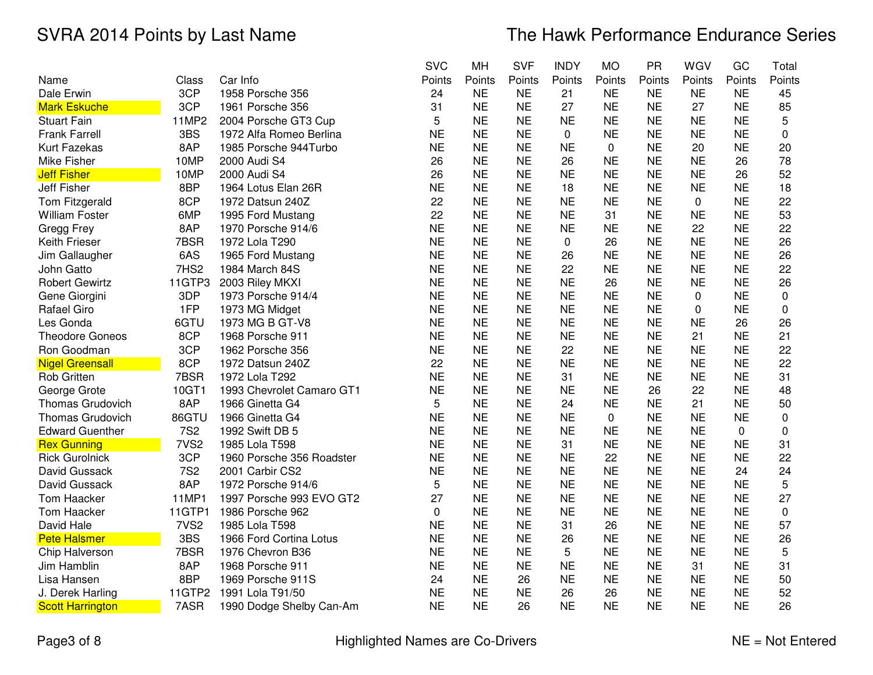|                         |                  |                           | <b>SVC</b>  | MH        | <b>SVF</b> | <b>INDY</b> | <b>MO</b> | <b>PR</b> | WGV       | GC        | Total  |
|-------------------------|------------------|---------------------------|-------------|-----------|------------|-------------|-----------|-----------|-----------|-----------|--------|
| Name                    | Class            | Car Info                  | Points      | Points    | Points     | Points      | Points    | Points    | Points    | Points    | Points |
| Dale Erwin              | 3CP              | 1958 Porsche 356          | 24          | <b>NE</b> | <b>NE</b>  | 21          | <b>NE</b> | <b>NE</b> | <b>NE</b> | <b>NE</b> | 45     |
| <b>Mark Eskuche</b>     | 3CP              | 1961 Porsche 356          | 31          | <b>NE</b> | <b>NE</b>  | 27          | <b>NE</b> | <b>NE</b> | 27        | <b>NE</b> | 85     |
| <b>Stuart Fain</b>      | 11MP2            | 2004 Porsche GT3 Cup      | 5           | <b>NE</b> | <b>NE</b>  | <b>NE</b>   | <b>NE</b> | <b>NE</b> | <b>NE</b> | <b>NE</b> | 5      |
| <b>Frank Farrell</b>    | 3BS              | 1972 Alfa Romeo Berlina   | <b>NE</b>   | <b>NE</b> | <b>NE</b>  | 0           | <b>NE</b> | <b>NE</b> | <b>NE</b> | <b>NE</b> | 0      |
| <b>Kurt Fazekas</b>     | 8AP              | 1985 Porsche 944Turbo     | <b>NE</b>   | <b>NE</b> | <b>NE</b>  | <b>NE</b>   | 0         | <b>NE</b> | 20        | <b>NE</b> | 20     |
| Mike Fisher             | 10MP             | 2000 Audi S4              | 26          | <b>NE</b> | <b>NE</b>  | 26          | <b>NE</b> | <b>NE</b> | <b>NE</b> | 26        | 78     |
| <b>Jeff Fisher</b>      | 10MP             | 2000 Audi S4              | 26          | <b>NE</b> | <b>NE</b>  | <b>NE</b>   | <b>NE</b> | <b>NE</b> | <b>NE</b> | 26        | 52     |
| Jeff Fisher             | 8BP              | 1964 Lotus Elan 26R       | <b>NE</b>   | <b>NE</b> | <b>NE</b>  | 18          | <b>NE</b> | <b>NE</b> | <b>NE</b> | <b>NE</b> | 18     |
| Tom Fitzgerald          | 8CP              | 1972 Datsun 240Z          | 22          | <b>NE</b> | <b>NE</b>  | <b>NE</b>   | <b>NE</b> | <b>NE</b> | 0         | <b>NE</b> | 22     |
| <b>William Foster</b>   | 6MP              | 1995 Ford Mustang         | 22          | <b>NE</b> | <b>NE</b>  | <b>NE</b>   | 31        | <b>NE</b> | <b>NE</b> | <b>NE</b> | 53     |
| Gregg Frey              | 8AP              | 1970 Porsche 914/6        | <b>NE</b>   | <b>NE</b> | <b>NE</b>  | <b>NE</b>   | <b>NE</b> | <b>NE</b> | 22        | <b>NE</b> | 22     |
| Keith Frieser           | 7BSR             | 1972 Lola T290            | <b>NE</b>   | <b>NE</b> | <b>NE</b>  | 0           | 26        | <b>NE</b> | <b>NE</b> | <b>NE</b> | 26     |
| Jim Gallaugher          | 6AS              | 1965 Ford Mustang         | <b>NE</b>   | <b>NE</b> | <b>NE</b>  | 26          | <b>NE</b> | <b>NE</b> | <b>NE</b> | <b>NE</b> | 26     |
| John Gatto              | 7HS2             | 1984 March 84S            | <b>NE</b>   | <b>NE</b> | <b>NE</b>  | 22          | <b>NE</b> | <b>NE</b> | <b>NE</b> | <b>NE</b> | 22     |
| <b>Robert Gewirtz</b>   | 11GTP3           | 2003 Riley MKXI           | <b>NE</b>   | <b>NE</b> | <b>NE</b>  | <b>NE</b>   | 26        | <b>NE</b> | <b>NE</b> | <b>NE</b> | 26     |
| Gene Giorgini           | 3DP              | 1973 Porsche 914/4        | <b>NE</b>   | <b>NE</b> | <b>NE</b>  | <b>NE</b>   | <b>NE</b> | <b>NE</b> | 0         | <b>NE</b> | 0      |
| Rafael Giro             | 1FP              | 1973 MG Midget            | <b>NE</b>   | <b>NE</b> | <b>NE</b>  | <b>NE</b>   | <b>NE</b> | <b>NE</b> | 0         | <b>NE</b> | 0      |
| Les Gonda               | 6GTU             | 1973 MG B GT-V8           | <b>NE</b>   | <b>NE</b> | <b>NE</b>  | <b>NE</b>   | <b>NE</b> | <b>NE</b> | <b>NE</b> | 26        | 26     |
| <b>Theodore Goneos</b>  | 8CP              | 1968 Porsche 911          | <b>NE</b>   | <b>NE</b> | <b>NE</b>  | <b>NE</b>   | <b>NE</b> | <b>NE</b> | 21        | <b>NE</b> | 21     |
| Ron Goodman             | 3CP              | 1962 Porsche 356          | <b>NE</b>   | <b>NE</b> | <b>NE</b>  | 22          | <b>NE</b> | <b>NE</b> | <b>NE</b> | <b>NE</b> | 22     |
| <b>Nigel Greensall</b>  | 8CP              | 1972 Datsun 240Z          | 22          | <b>NE</b> | <b>NE</b>  | <b>NE</b>   | <b>NE</b> | <b>NE</b> | <b>NE</b> | <b>NE</b> | 22     |
| <b>Rob Gritten</b>      | 7BSR             | 1972 Lola T292            | <b>NE</b>   | <b>NE</b> | <b>NE</b>  | 31          | <b>NE</b> | <b>NE</b> | <b>NE</b> | <b>NE</b> | 31     |
| George Grote            | 10GT1            | 1993 Chevrolet Camaro GT1 | <b>NE</b>   | <b>NE</b> | <b>NE</b>  | <b>NE</b>   | <b>NE</b> | 26        | 22        | <b>NE</b> | 48     |
| <b>Thomas Grudovich</b> | 8AP              | 1966 Ginetta G4           | 5           | <b>NE</b> | <b>NE</b>  | 24          | <b>NE</b> | <b>NE</b> | 21        | <b>NE</b> | 50     |
| <b>Thomas Grudovich</b> | 86GTU            | 1966 Ginetta G4           | <b>NE</b>   | <b>NE</b> | <b>NE</b>  | <b>NE</b>   | 0         | <b>NE</b> | <b>NE</b> | <b>NE</b> | 0      |
| <b>Edward Guenther</b>  | <b>7S2</b>       | 1992 Swift DB 5           | <b>NE</b>   | <b>NE</b> | <b>NE</b>  | <b>NE</b>   | <b>NE</b> | <b>NE</b> | <b>NE</b> | 0         | 0      |
| <b>Rex Gunning</b>      | 7VS <sub>2</sub> | 1985 Lola T598            | <b>NE</b>   | <b>NE</b> | <b>NE</b>  | 31          | <b>NE</b> | <b>NE</b> | <b>NE</b> | <b>NE</b> | 31     |
| <b>Rick Gurolnick</b>   | 3CP              | 1960 Porsche 356 Roadster | <b>NE</b>   | <b>NE</b> | <b>NE</b>  | <b>NE</b>   | 22        | <b>NE</b> | <b>NE</b> | <b>NE</b> | 22     |
| David Gussack           | <b>7S2</b>       | 2001 Carbir CS2           | <b>NE</b>   | <b>NE</b> | <b>NE</b>  | <b>NE</b>   | <b>NE</b> | <b>NE</b> | <b>NE</b> | 24        | 24     |
| David Gussack           | 8AP              | 1972 Porsche 914/6        | 5           | <b>NE</b> | <b>NE</b>  | <b>NE</b>   | <b>NE</b> | <b>NE</b> | <b>NE</b> | NE        | 5      |
| <b>Tom Haacker</b>      | 11MP1            | 1997 Porsche 993 EVO GT2  | 27          | <b>NE</b> | <b>NE</b>  | <b>NE</b>   | <b>NE</b> | <b>NE</b> | <b>NE</b> | <b>NE</b> | 27     |
| Tom Haacker             | 11GTP1           | 1986 Porsche 962          | $\mathbf 0$ | <b>NE</b> | <b>NE</b>  | <b>NE</b>   | <b>NE</b> | <b>NE</b> | <b>NE</b> | <b>NE</b> | 0      |
| David Hale              | 7VS <sub>2</sub> | 1985 Lola T598            | <b>NE</b>   | <b>NE</b> | <b>NE</b>  | 31          | 26        | <b>NE</b> | <b>NE</b> | <b>NE</b> | 57     |
| <b>Pete Halsmer</b>     | 3BS              | 1966 Ford Cortina Lotus   | <b>NE</b>   | <b>NE</b> | <b>NE</b>  | 26          | <b>NE</b> | <b>NE</b> | <b>NE</b> | <b>NE</b> | 26     |
| Chip Halverson          | 7BSR             | 1976 Chevron B36          | <b>NE</b>   | <b>NE</b> | <b>NE</b>  | 5           | <b>NE</b> | <b>NE</b> | <b>NE</b> | <b>NE</b> | 5      |
| Jim Hamblin             | 8AP              | 1968 Porsche 911          | <b>NE</b>   | <b>NE</b> | <b>NE</b>  | <b>NE</b>   | <b>NE</b> | <b>NE</b> | 31        | <b>NE</b> | 31     |
| Lisa Hansen             | 8BP              | 1969 Porsche 911S         | 24          | <b>NE</b> | 26         | <b>NE</b>   | <b>NE</b> | <b>NE</b> | <b>NE</b> | <b>NE</b> | 50     |
| J. Derek Harling        | 11GTP2           | 1991 Lola T91/50          | <b>NE</b>   | <b>NE</b> | <b>NE</b>  | 26          | 26        | <b>NE</b> | <b>NE</b> | <b>NE</b> | 52     |
| <b>Scott Harrington</b> | 7ASR             | 1990 Dodge Shelby Can-Am  | <b>NE</b>   | <b>NE</b> | 26         | <b>NE</b>   | <b>NE</b> | <b>NE</b> | <b>NE</b> | <b>NE</b> | 26     |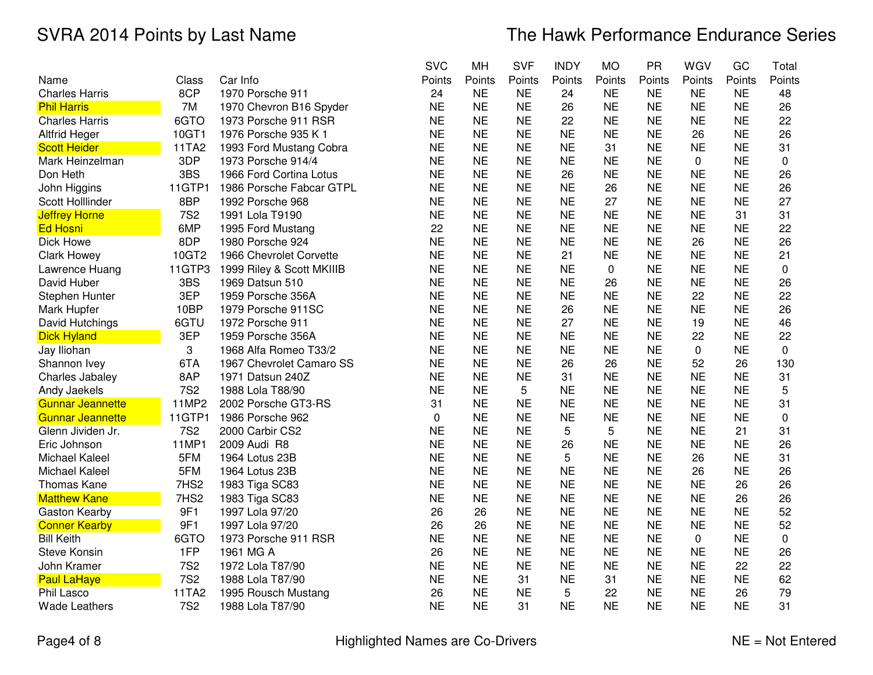|                         |            |                           | <b>SVC</b> | MH        | <b>SVF</b> | <b>INDY</b> | <b>MO</b> | PR        | WGV       | GC        | Total       |
|-------------------------|------------|---------------------------|------------|-----------|------------|-------------|-----------|-----------|-----------|-----------|-------------|
| Name                    | Class      | Car Info                  | Points     | Points    | Points     | Points      | Points    | Points    | Points    | Points    | Points      |
| <b>Charles Harris</b>   | 8CP        | 1970 Porsche 911          | 24         | <b>NE</b> | <b>NE</b>  | 24          | <b>NE</b> | <b>NE</b> | <b>NE</b> | <b>NE</b> | 48          |
| <b>Phil Harris</b>      | 7M         | 1970 Chevron B16 Spyder   | <b>NE</b>  | <b>NE</b> | <b>NE</b>  | 26          | <b>NE</b> | <b>NE</b> | <b>NE</b> | <b>NE</b> | 26          |
| <b>Charles Harris</b>   | 6GTO       | 1973 Porsche 911 RSR      | <b>NE</b>  | <b>NE</b> | <b>NE</b>  | 22          | <b>NE</b> | <b>NE</b> | <b>NE</b> | <b>NE</b> | 22          |
| <b>Altfrid Heger</b>    | 10GT1      | 1976 Porsche 935 K 1      | <b>NE</b>  | <b>NE</b> | <b>NE</b>  | <b>NE</b>   | <b>NE</b> | <b>NE</b> | 26        | <b>NE</b> | 26          |
| <b>Scott Heider</b>     | 11TA2      | 1993 Ford Mustang Cobra   | <b>NE</b>  | <b>NE</b> | <b>NE</b>  | <b>NE</b>   | 31        | <b>NE</b> | <b>NE</b> | <b>NE</b> | 31          |
| Mark Heinzelman         | 3DP        | 1973 Porsche 914/4        | <b>NE</b>  | <b>NE</b> | <b>NE</b>  | <b>NE</b>   | <b>NE</b> | <b>NE</b> | 0         | <b>NE</b> | 0           |
| Don Heth                | 3BS        | 1966 Ford Cortina Lotus   | <b>NE</b>  | <b>NE</b> | <b>NE</b>  | 26          | <b>NE</b> | <b>NE</b> | <b>NE</b> | <b>NE</b> | 26          |
| John Higgins            | 11GTP1     | 1986 Porsche Fabcar GTPL  | <b>NE</b>  | <b>NE</b> | <b>NE</b>  | <b>NE</b>   | 26        | <b>NE</b> | <b>NE</b> | <b>NE</b> | 26          |
| Scott Holllinder        | 8BP        | 1992 Porsche 968          | <b>NE</b>  | <b>NE</b> | <b>NE</b>  | <b>NE</b>   | 27        | <b>NE</b> | <b>NE</b> | <b>NE</b> | 27          |
| <b>Jeffrey Horne</b>    | <b>7S2</b> | 1991 Lola T9190           | <b>NE</b>  | <b>NE</b> | <b>NE</b>  | <b>NE</b>   | <b>NE</b> | <b>NE</b> | <b>NE</b> | 31        | 31          |
| <b>Ed Hosni</b>         | 6MP        | 1995 Ford Mustang         | 22         | <b>NE</b> | <b>NE</b>  | <b>NE</b>   | <b>NE</b> | <b>NE</b> | <b>NE</b> | <b>NE</b> | 22          |
| Dick Howe               | 8DP        | 1980 Porsche 924          | <b>NE</b>  | <b>NE</b> | <b>NE</b>  | <b>NE</b>   | <b>NE</b> | <b>NE</b> | 26        | <b>NE</b> | 26          |
| <b>Clark Howey</b>      | 10GT2      | 1966 Chevrolet Corvette   | <b>NE</b>  | <b>NE</b> | <b>NE</b>  | 21          | <b>NE</b> | <b>NE</b> | <b>NE</b> | <b>NE</b> | 21          |
| Lawrence Huang          | 11GTP3     | 1999 Riley & Scott MKIIIB | <b>NE</b>  | <b>NE</b> | <b>NE</b>  | <b>NE</b>   | 0         | <b>NE</b> | <b>NE</b> | <b>NE</b> | $\mathbf 0$ |
| David Huber             | 3BS        | 1969 Datsun 510           | <b>NE</b>  | <b>NE</b> | <b>NE</b>  | <b>NE</b>   | 26        | <b>NE</b> | <b>NE</b> | <b>NE</b> | 26          |
| Stephen Hunter          | 3EP        | 1959 Porsche 356A         | <b>NE</b>  | <b>NE</b> | <b>NE</b>  | <b>NE</b>   | <b>NE</b> | <b>NE</b> | 22        | <b>NE</b> | 22          |
| Mark Hupfer             | 10BP       | 1979 Porsche 911SC        | <b>NE</b>  | <b>NE</b> | <b>NE</b>  | 26          | <b>NE</b> | <b>NE</b> | <b>NE</b> | <b>NE</b> | 26          |
| David Hutchings         | 6GTU       | 1972 Porsche 911          | <b>NE</b>  | <b>NE</b> | <b>NE</b>  | 27          | <b>NE</b> | <b>NE</b> | 19        | <b>NE</b> | 46          |
| <b>Dick Hyland</b>      | 3EP        | 1959 Porsche 356A         | <b>NE</b>  | <b>NE</b> | <b>NE</b>  | <b>NE</b>   | <b>NE</b> | <b>NE</b> | 22        | <b>NE</b> | 22          |
| Jay Iliohan             | 3          | 1968 Alfa Romeo T33/2     | <b>NE</b>  | <b>NE</b> | <b>NE</b>  | <b>NE</b>   | <b>NE</b> | <b>NE</b> | 0         | <b>NE</b> | $\mathbf 0$ |
| Shannon Ivey            | 6TA        | 1967 Chevrolet Camaro SS  | <b>NE</b>  | <b>NE</b> | <b>NE</b>  | 26          | 26        | <b>NE</b> | 52        | 26        | 130         |
| Charles Jabaley         | 8AP        | 1971 Datsun 240Z          | <b>NE</b>  | <b>NE</b> | <b>NE</b>  | 31          | <b>NE</b> | <b>NE</b> | <b>NE</b> | <b>NE</b> | 31          |
| Andy Jaekels            | <b>7S2</b> | 1988 Lola T88/90          | <b>NE</b>  | <b>NE</b> | 5          | <b>NE</b>   | <b>NE</b> | <b>NE</b> | <b>NE</b> | <b>NE</b> | 5           |
| <b>Gunnar Jeannette</b> | 11MP2      | 2002 Porsche GT3-RS       | 31         | <b>NE</b> | <b>NE</b>  | <b>NE</b>   | <b>NE</b> | <b>NE</b> | <b>NE</b> | <b>NE</b> | 31          |
| <b>Gunnar Jeannette</b> | 11GTP1     | 1986 Porsche 962          | 0          | <b>NE</b> | <b>NE</b>  | <b>NE</b>   | <b>NE</b> | <b>NE</b> | <b>NE</b> | <b>NE</b> | 0           |
| Glenn Jividen Jr.       | <b>7S2</b> | 2000 Carbir CS2           | <b>NE</b>  | <b>NE</b> | <b>NE</b>  | 5           | 5         | <b>NE</b> | <b>NE</b> | 21        | 31          |
| Eric Johnson            | 11MP1      | 2009 Audi R8              | <b>NE</b>  | <b>NE</b> | <b>NE</b>  | 26          | <b>NE</b> | <b>NE</b> | <b>NE</b> | <b>NE</b> | 26          |
| Michael Kaleel          | 5FM        | 1964 Lotus 23B            | <b>NE</b>  | <b>NE</b> | <b>NE</b>  | 5           | <b>NE</b> | <b>NE</b> | 26        | <b>NE</b> | 31          |
| <b>Michael Kaleel</b>   | 5FM        | 1964 Lotus 23B            | <b>NE</b>  | <b>NE</b> | <b>NE</b>  | <b>NE</b>   | <b>NE</b> | <b>NE</b> | 26        | <b>NE</b> | 26          |
| Thomas Kane             | 7HS2       | 1983 Tiga SC83            | <b>NE</b>  | <b>NE</b> | <b>NE</b>  | <b>NE</b>   | <b>NE</b> | <b>NE</b> | <b>NE</b> | 26        | 26          |
| <b>Matthew Kane</b>     | 7HS2       | 1983 Tiga SC83            | <b>NE</b>  | <b>NE</b> | <b>NE</b>  | <b>NE</b>   | <b>NE</b> | <b>NE</b> | <b>NE</b> | 26        | 26          |
| Gaston Kearby           | 9F1        | 1997 Lola 97/20           | 26         | 26        | <b>NE</b>  | <b>NE</b>   | <b>NE</b> | <b>NE</b> | <b>NE</b> | <b>NE</b> | 52          |
| <b>Conner Kearby</b>    | 9F1        | 1997 Lola 97/20           | 26         | 26        | <b>NE</b>  | <b>NE</b>   | <b>NE</b> | <b>NE</b> | <b>NE</b> | <b>NE</b> | 52          |
| <b>Bill Keith</b>       | 6GTO       | 1973 Porsche 911 RSR      | <b>NE</b>  | <b>NE</b> | <b>NE</b>  | <b>NE</b>   | <b>NE</b> | <b>NE</b> | 0         | <b>NE</b> | 0           |
| <b>Steve Konsin</b>     | 1FP        | 1961 MG A                 | 26         | <b>NE</b> | <b>NE</b>  | <b>NE</b>   | <b>NE</b> | <b>NE</b> | <b>NE</b> | <b>NE</b> | 26          |
| John Kramer             | <b>7S2</b> | 1972 Lola T87/90          | <b>NE</b>  | <b>NE</b> | <b>NE</b>  | <b>NE</b>   | <b>NE</b> | <b>NE</b> | <b>NE</b> | 22        | 22          |
| <b>Paul LaHaye</b>      | <b>7S2</b> | 1988 Lola T87/90          | <b>NE</b>  | <b>NE</b> | 31         | <b>NE</b>   | 31        | <b>NE</b> | <b>NE</b> | <b>NE</b> | 62          |
| Phil Lasco              | 11TA2      | 1995 Rousch Mustang       | 26         | <b>NE</b> | <b>NE</b>  | 5           | 22        | <b>NE</b> | <b>NE</b> | 26        | 79          |
| <b>Wade Leathers</b>    | <b>7S2</b> | 1988 Lola T87/90          | <b>NE</b>  | <b>NE</b> | 31         | <b>NE</b>   | <b>NE</b> | <b>NE</b> | <b>NE</b> | <b>NE</b> | 31          |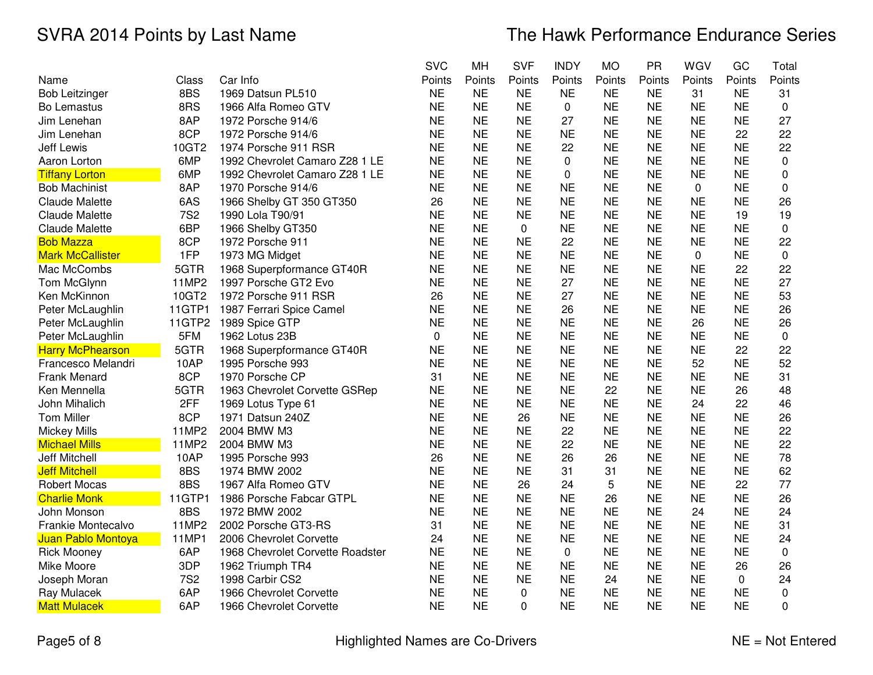|                         |            |                                  | <b>SVC</b> | <b>MH</b> | <b>SVF</b>  | <b>INDY</b>  | <b>MO</b> | PR        | WGV       | GC        | Total  |
|-------------------------|------------|----------------------------------|------------|-----------|-------------|--------------|-----------|-----------|-----------|-----------|--------|
| Name                    | Class      | Car Info                         | Points     | Points    | Points      | Points       | Points    | Points    | Points    | Points    | Points |
| <b>Bob Leitzinger</b>   | 8BS        | 1969 Datsun PL510                | <b>NE</b>  | <b>NE</b> | <b>NE</b>   | <b>NE</b>    | <b>NE</b> | <b>NE</b> | 31        | <b>NE</b> | 31     |
| <b>Bo Lemastus</b>      | 8RS        | 1966 Alfa Romeo GTV              | <b>NE</b>  | <b>NE</b> | <b>NE</b>   | 0            | <b>NE</b> | <b>NE</b> | <b>NE</b> | <b>NE</b> | 0      |
| Jim Lenehan             | 8AP        | 1972 Porsche 914/6               | <b>NE</b>  | <b>NE</b> | <b>NE</b>   | 27           | <b>NE</b> | <b>NE</b> | <b>NE</b> | <b>NE</b> | 27     |
| Jim Lenehan             | 8CP        | 1972 Porsche 914/6               | <b>NE</b>  | <b>NE</b> | <b>NE</b>   | <b>NE</b>    | <b>NE</b> | <b>NE</b> | <b>NE</b> | 22        | 22     |
| <b>Jeff Lewis</b>       | 10GT2      | 1974 Porsche 911 RSR             | <b>NE</b>  | <b>NE</b> | <b>NE</b>   | 22           | <b>NE</b> | <b>NE</b> | <b>NE</b> | <b>NE</b> | 22     |
| Aaron Lorton            | 6MP        | 1992 Chevrolet Camaro Z28 1 LE   | <b>NE</b>  | <b>NE</b> | <b>NE</b>   | $\mathbf{0}$ | <b>NE</b> | <b>NE</b> | <b>NE</b> | <b>NE</b> | 0      |
| <b>Tiffany Lorton</b>   | 6MP        | 1992 Chevrolet Camaro Z28 1 LE   | <b>NE</b>  | <b>NE</b> | <b>NE</b>   | $\Omega$     | <b>NE</b> | <b>NE</b> | <b>NE</b> | <b>NE</b> | 0      |
| <b>Bob Machinist</b>    | 8AP        | 1970 Porsche 914/6               | <b>NE</b>  | <b>NE</b> | <b>NE</b>   | <b>NE</b>    | <b>NE</b> | <b>NE</b> | 0         | <b>NE</b> | 0      |
| <b>Claude Malette</b>   | 6AS        | 1966 Shelby GT 350 GT350         | 26         | <b>NE</b> | <b>NE</b>   | <b>NE</b>    | <b>NE</b> | <b>NE</b> | <b>NE</b> | <b>NE</b> | 26     |
| <b>Claude Malette</b>   | <b>7S2</b> | 1990 Lola T90/91                 | <b>NE</b>  | <b>NE</b> | <b>NE</b>   | <b>NE</b>    | <b>NE</b> | <b>NE</b> | <b>NE</b> | 19        | 19     |
| <b>Claude Malette</b>   | 6BP        | 1966 Shelby GT350                | <b>NE</b>  | <b>NE</b> | $\mathbf 0$ | <b>NE</b>    | <b>NE</b> | <b>NE</b> | <b>NE</b> | <b>NE</b> | 0      |
| <b>Bob Mazza</b>        | 8CP        | 1972 Porsche 911                 | <b>NE</b>  | <b>NE</b> | <b>NE</b>   | 22           | <b>NE</b> | <b>NE</b> | <b>NE</b> | <b>NE</b> | 22     |
| <b>Mark McCallister</b> | 1FP        | 1973 MG Midget                   | <b>NE</b>  | <b>NE</b> | <b>NE</b>   | <b>NE</b>    | <b>NE</b> | <b>NE</b> | 0         | <b>NE</b> | 0      |
| Mac McCombs             | 5GTR       | 1968 Superpformance GT40R        | <b>NE</b>  | <b>NE</b> | <b>NE</b>   | <b>NE</b>    | <b>NE</b> | <b>NE</b> | <b>NE</b> | 22        | 22     |
| Tom McGlynn             | 11MP2      | 1997 Porsche GT2 Evo             | <b>NE</b>  | <b>NE</b> | <b>NE</b>   | 27           | <b>NE</b> | <b>NE</b> | <b>NE</b> | <b>NE</b> | 27     |
| Ken McKinnon            | 10GT2      | 1972 Porsche 911 RSR             | 26         | <b>NE</b> | <b>NE</b>   | 27           | <b>NE</b> | <b>NE</b> | <b>NE</b> | <b>NE</b> | 53     |
| Peter McLaughlin        | 11GTP1     | 1987 Ferrari Spice Camel         | <b>NE</b>  | <b>NE</b> | <b>NE</b>   | 26           | <b>NE</b> | <b>NE</b> | <b>NE</b> | <b>NE</b> | 26     |
| Peter McLaughlin        | 11GTP2     | 1989 Spice GTP                   | <b>NE</b>  | <b>NE</b> | <b>NE</b>   | <b>NE</b>    | <b>NE</b> | <b>NE</b> | 26        | <b>NE</b> | 26     |
| Peter McLaughlin        | 5FM        | 1962 Lotus 23B                   | 0          | <b>NE</b> | <b>NE</b>   | <b>NE</b>    | <b>NE</b> | <b>NE</b> | <b>NE</b> | <b>NE</b> | 0      |
| <b>Harry McPhearson</b> | 5GTR       | 1968 Superpformance GT40R        | <b>NE</b>  | <b>NE</b> | <b>NE</b>   | <b>NE</b>    | <b>NE</b> | <b>NE</b> | <b>NE</b> | 22        | 22     |
| Francesco Melandri      | 10AP       | 1995 Porsche 993                 | <b>NE</b>  | <b>NE</b> | <b>NE</b>   | <b>NE</b>    | <b>NE</b> | <b>NE</b> | 52        | <b>NE</b> | 52     |
| Frank Menard            | 8CP        | 1970 Porsche CP                  | 31         | <b>NE</b> | <b>NE</b>   | <b>NE</b>    | <b>NE</b> | <b>NE</b> | <b>NE</b> | <b>NE</b> | 31     |
| Ken Mennella            | 5GTR       | 1963 Chevrolet Corvette GSRep    | <b>NE</b>  | <b>NE</b> | <b>NE</b>   | <b>NE</b>    | 22        | <b>NE</b> | <b>NE</b> | 26        | 48     |
| John Mihalich           | 2FF        | 1969 Lotus Type 61               | <b>NE</b>  | <b>NE</b> | <b>NE</b>   | <b>NE</b>    | <b>NE</b> | <b>NE</b> | 24        | 22        | 46     |
| <b>Tom Miller</b>       | 8CP        | 1971 Datsun 240Z                 | <b>NE</b>  | <b>NE</b> | 26          | <b>NE</b>    | <b>NE</b> | <b>NE</b> | <b>NE</b> | <b>NE</b> | 26     |
| <b>Mickey Mills</b>     | 11MP2      | 2004 BMW M3                      | <b>NE</b>  | <b>NE</b> | <b>NE</b>   | 22           | <b>NE</b> | <b>NE</b> | <b>NE</b> | <b>NE</b> | 22     |
| <b>Michael Mills</b>    | 11MP2      | 2004 BMW M3                      | <b>NE</b>  | <b>NE</b> | <b>NE</b>   | 22           | <b>NE</b> | <b>NE</b> | <b>NE</b> | <b>NE</b> | 22     |
| Jeff Mitchell           | 10AP       | 1995 Porsche 993                 | 26         | <b>NE</b> | <b>NE</b>   | 26           | 26        | <b>NE</b> | <b>NE</b> | <b>NE</b> | 78     |
| <b>Jeff Mitchell</b>    | 8BS        | 1974 BMW 2002                    | <b>NE</b>  | <b>NE</b> | <b>NE</b>   | 31           | 31        | <b>NE</b> | <b>NE</b> | <b>NE</b> | 62     |
| <b>Robert Mocas</b>     | 8BS        | 1967 Alfa Romeo GTV              | <b>NE</b>  | <b>NE</b> | 26          | 24           | 5         | <b>NE</b> | <b>NE</b> | 22        | 77     |
| <b>Charlie Monk</b>     | 11GTP1     | 1986 Porsche Fabcar GTPL         | <b>NE</b>  | <b>NE</b> | <b>NE</b>   | <b>NE</b>    | 26        | <b>NE</b> | <b>NE</b> | <b>NE</b> | 26     |
| John Monson             | 8BS        | 1972 BMW 2002                    | <b>NE</b>  | <b>NE</b> | <b>NE</b>   | <b>NE</b>    | <b>NE</b> | <b>NE</b> | 24        | <b>NE</b> | 24     |
| Frankie Montecalvo      | 11MP2      | 2002 Porsche GT3-RS              | 31         | <b>NE</b> | <b>NE</b>   | <b>NE</b>    | <b>NE</b> | <b>NE</b> | <b>NE</b> | <b>NE</b> | 31     |
| Juan Pablo Montoya      | 11MP1      | 2006 Chevrolet Corvette          | 24         | <b>NE</b> | <b>NE</b>   | <b>NE</b>    | <b>NE</b> | <b>NE</b> | <b>NE</b> | <b>NE</b> | 24     |
| <b>Rick Mooney</b>      | 6AP        | 1968 Chevrolet Corvette Roadster | <b>NE</b>  | <b>NE</b> | <b>NE</b>   | 0            | <b>NE</b> | <b>NE</b> | <b>NE</b> | <b>NE</b> | 0      |
| Mike Moore              | 3DP        | 1962 Triumph TR4                 | <b>NE</b>  | <b>NE</b> | <b>NE</b>   | <b>NE</b>    | <b>NE</b> | <b>NE</b> | <b>NE</b> | 26        | 26     |
| Joseph Moran            | <b>7S2</b> | 1998 Carbir CS2                  | <b>NE</b>  | <b>NE</b> | <b>NE</b>   | <b>NE</b>    | 24        | <b>NE</b> | <b>NE</b> | 0         | 24     |
| Ray Mulacek             | 6AP        | 1966 Chevrolet Corvette          | <b>NE</b>  | <b>NE</b> | 0           | <b>NE</b>    | <b>NE</b> | <b>NE</b> | <b>NE</b> | <b>NE</b> | 0      |
| <b>Matt Mulacek</b>     | 6AP        | 1966 Chevrolet Corvette          | <b>NE</b>  | <b>NE</b> | $\Omega$    | <b>NE</b>    | <b>NE</b> | <b>NE</b> | <b>NE</b> | <b>NE</b> | 0      |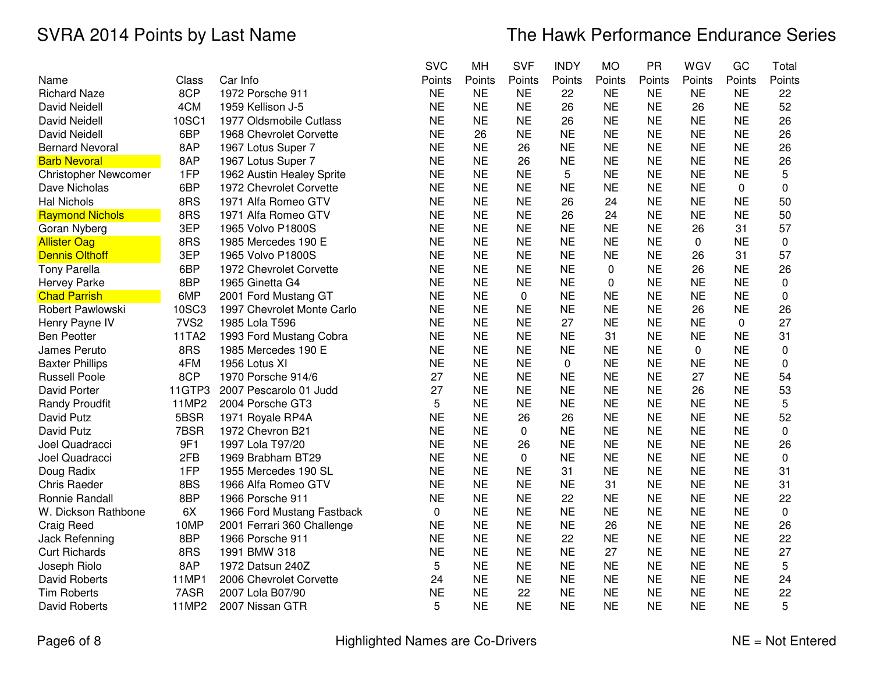|                             |                  |                            | <b>SVC</b> | MH        | <b>SVF</b> | <b>INDY</b> | <b>MO</b>   | PR        | WGV       | GC          | Total       |
|-----------------------------|------------------|----------------------------|------------|-----------|------------|-------------|-------------|-----------|-----------|-------------|-------------|
| Name                        | Class            | Car Info                   | Points     | Points    | Points     | Points      | Points      | Points    | Points    | Points      | Points      |
| <b>Richard Naze</b>         | 8CP              | 1972 Porsche 911           | <b>NE</b>  | <b>NE</b> | <b>NE</b>  | 22          | <b>NE</b>   | <b>NE</b> | <b>NE</b> | <b>NE</b>   | 22          |
| <b>David Neidell</b>        | 4CM              | 1959 Kellison J-5          | <b>NE</b>  | <b>NE</b> | <b>NE</b>  | 26          | <b>NE</b>   | <b>NE</b> | 26        | <b>NE</b>   | 52          |
| <b>David Neidell</b>        | 10SC1            | 1977 Oldsmobile Cutlass    | <b>NE</b>  | <b>NE</b> | <b>NE</b>  | 26          | <b>NE</b>   | <b>NE</b> | <b>NE</b> | <b>NE</b>   | 26          |
| <b>David Neidell</b>        | 6BP              | 1968 Chevrolet Corvette    | <b>NE</b>  | 26        | <b>NE</b>  | <b>NE</b>   | <b>NE</b>   | <b>NE</b> | <b>NE</b> | <b>NE</b>   | 26          |
| <b>Bernard Nevoral</b>      | 8AP              | 1967 Lotus Super 7         | <b>NE</b>  | <b>NE</b> | 26         | <b>NE</b>   | <b>NE</b>   | <b>NE</b> | <b>NE</b> | <b>NE</b>   | 26          |
| <b>Barb Nevoral</b>         | 8AP              | 1967 Lotus Super 7         | <b>NE</b>  | <b>NE</b> | 26         | <b>NE</b>   | <b>NE</b>   | <b>NE</b> | <b>NE</b> | <b>NE</b>   | 26          |
| <b>Christopher Newcomer</b> | 1FP              | 1962 Austin Healey Sprite  | <b>NE</b>  | <b>NE</b> | <b>NE</b>  | 5           | <b>NE</b>   | <b>NE</b> | <b>NE</b> | <b>NE</b>   | 5           |
| Dave Nicholas               | 6BP              | 1972 Chevrolet Corvette    | <b>NE</b>  | <b>NE</b> | <b>NE</b>  | <b>NE</b>   | <b>NE</b>   | <b>NE</b> | <b>NE</b> | $\Omega$    | $\mathbf 0$ |
| <b>Hal Nichols</b>          | 8RS              | 1971 Alfa Romeo GTV        | <b>NE</b>  | <b>NE</b> | <b>NE</b>  | 26          | 24          | <b>NE</b> | <b>NE</b> | <b>NE</b>   | 50          |
| <b>Raymond Nichols</b>      | 8RS              | 1971 Alfa Romeo GTV        | <b>NE</b>  | <b>NE</b> | <b>NE</b>  | 26          | 24          | <b>NE</b> | <b>NE</b> | <b>NE</b>   | 50          |
| Goran Nyberg                | 3EP              | 1965 Volvo P1800S          | <b>NE</b>  | <b>NE</b> | <b>NE</b>  | <b>NE</b>   | <b>NE</b>   | <b>NE</b> | 26        | 31          | 57          |
| <b>Allister Oag</b>         | 8RS              | 1985 Mercedes 190 E        | <b>NE</b>  | <b>NE</b> | <b>NE</b>  | <b>NE</b>   | <b>NE</b>   | <b>NE</b> | 0         | <b>NE</b>   | 0           |
| <b>Dennis Olthoff</b>       | 3EP              | 1965 Volvo P1800S          | <b>NE</b>  | <b>NE</b> | <b>NE</b>  | <b>NE</b>   | <b>NE</b>   | <b>NE</b> | 26        | 31          | 57          |
| <b>Tony Parella</b>         | 6BP              | 1972 Chevrolet Corvette    | <b>NE</b>  | <b>NE</b> | <b>NE</b>  | <b>NE</b>   | $\mathbf 0$ | <b>NE</b> | 26        | <b>NE</b>   | 26          |
| <b>Hervey Parke</b>         | 8BP              | 1965 Ginetta G4            | <b>NE</b>  | <b>NE</b> | <b>NE</b>  | <b>NE</b>   | 0           | <b>NE</b> | <b>NE</b> | <b>NE</b>   | 0           |
| <b>Chad Parrish</b>         | 6MP              | 2001 Ford Mustang GT       | <b>NE</b>  | <b>NE</b> | $\pmb{0}$  | <b>NE</b>   | <b>NE</b>   | <b>NE</b> | <b>NE</b> | <b>NE</b>   | $\mathbf 0$ |
| Robert Pawlowski            | 10SC3            | 1997 Chevrolet Monte Carlo | <b>NE</b>  | <b>NE</b> | <b>NE</b>  | <b>NE</b>   | <b>NE</b>   | <b>NE</b> | 26        | <b>NE</b>   | 26          |
| Henry Payne IV              | 7VS <sub>2</sub> | 1985 Lola T596             | <b>NE</b>  | <b>NE</b> | <b>NE</b>  | 27          | <b>NE</b>   | <b>NE</b> | <b>NE</b> | $\mathbf 0$ | 27          |
| <b>Ben Peotter</b>          | 11TA2            | 1993 Ford Mustang Cobra    | <b>NE</b>  | <b>NE</b> | <b>NE</b>  | <b>NE</b>   | 31          | <b>NE</b> | <b>NE</b> | <b>NE</b>   | 31          |
| James Peruto                | 8RS              | 1985 Mercedes 190 E        | <b>NE</b>  | <b>NE</b> | <b>NE</b>  | <b>NE</b>   | <b>NE</b>   | <b>NE</b> | 0         | <b>NE</b>   | $\mathbf 0$ |
| <b>Baxter Phillips</b>      | 4FM              | 1956 Lotus XI              | <b>NE</b>  | <b>NE</b> | <b>NE</b>  | $\mathbf 0$ | <b>NE</b>   | <b>NE</b> | <b>NE</b> | <b>NE</b>   | $\mathbf 0$ |
| <b>Russell Poole</b>        | 8CP              | 1970 Porsche 914/6         | 27         | <b>NE</b> | <b>NE</b>  | <b>NE</b>   | <b>NE</b>   | <b>NE</b> | 27        | <b>NE</b>   | 54          |
| David Porter                | 11GTP3           | 2007 Pescarolo 01 Judd     | 27         | <b>NE</b> | <b>NE</b>  | <b>NE</b>   | <b>NE</b>   | <b>NE</b> | 26        | <b>NE</b>   | 53          |
| <b>Randy Proudfit</b>       | 11MP2            | 2004 Porsche GT3           | 5          | <b>NE</b> | <b>NE</b>  | <b>NE</b>   | <b>NE</b>   | <b>NE</b> | <b>NE</b> | <b>NE</b>   | 5           |
| David Putz                  | 5BSR             | 1971 Royale RP4A           | <b>NE</b>  | <b>NE</b> | 26         | 26          | <b>NE</b>   | <b>NE</b> | <b>NE</b> | <b>NE</b>   | 52          |
| David Putz                  | 7BSR             | 1972 Chevron B21           | <b>NE</b>  | <b>NE</b> | 0          | <b>NE</b>   | <b>NE</b>   | <b>NE</b> | <b>NE</b> | <b>NE</b>   | 0           |
| Joel Quadracci              | 9F1              | 1997 Lola T97/20           | <b>NE</b>  | <b>NE</b> | 26         | <b>NE</b>   | <b>NE</b>   | <b>NE</b> | <b>NE</b> | <b>NE</b>   | 26          |
| Joel Quadracci              | 2FB              | 1969 Brabham BT29          | <b>NE</b>  | <b>NE</b> | 0          | <b>NE</b>   | <b>NE</b>   | <b>NE</b> | <b>NE</b> | <b>NE</b>   | $\mathbf 0$ |
| Doug Radix                  | 1FP              | 1955 Mercedes 190 SL       | <b>NE</b>  | <b>NE</b> | <b>NE</b>  | 31          | <b>NE</b>   | <b>NE</b> | <b>NE</b> | <b>NE</b>   | 31          |
| <b>Chris Raeder</b>         | 8BS              | 1966 Alfa Romeo GTV        | <b>NE</b>  | <b>NE</b> | <b>NE</b>  | <b>NE</b>   | 31          | <b>NE</b> | <b>NE</b> | <b>NE</b>   | 31          |
| Ronnie Randall              | 8BP              | 1966 Porsche 911           | <b>NE</b>  | <b>NE</b> | <b>NE</b>  | 22          | <b>NE</b>   | <b>NE</b> | <b>NE</b> | <b>NE</b>   | 22          |
| W. Dickson Rathbone         | 6X               | 1966 Ford Mustang Fastback | 0          | <b>NE</b> | <b>NE</b>  | <b>NE</b>   | <b>NE</b>   | <b>NE</b> | <b>NE</b> | <b>NE</b>   | $\pmb{0}$   |
| Craig Reed                  | 10MP             | 2001 Ferrari 360 Challenge | <b>NE</b>  | <b>NE</b> | <b>NE</b>  | <b>NE</b>   | 26          | <b>NE</b> | <b>NE</b> | <b>NE</b>   | 26          |
| Jack Refenning              | 8BP              | 1966 Porsche 911           | <b>NE</b>  | <b>NE</b> | <b>NE</b>  | 22          | <b>NE</b>   | <b>NE</b> | <b>NE</b> | <b>NE</b>   | 22          |
| <b>Curt Richards</b>        | 8RS              | 1991 BMW 318               | <b>NE</b>  | <b>NE</b> | <b>NE</b>  | <b>NE</b>   | 27          | <b>NE</b> | <b>NE</b> | <b>NE</b>   | 27          |
| Joseph Riolo                | 8AP              | 1972 Datsun 240Z           | 5          | <b>NE</b> | <b>NE</b>  | <b>NE</b>   | <b>NE</b>   | <b>NE</b> | <b>NE</b> | <b>NE</b>   | 5           |
| David Roberts               | 11MP1            | 2006 Chevrolet Corvette    | 24         | <b>NE</b> | <b>NE</b>  | <b>NE</b>   | <b>NE</b>   | <b>NE</b> | <b>NE</b> | <b>NE</b>   | 24          |
| <b>Tim Roberts</b>          | 7ASR             | 2007 Lola B07/90           | <b>NE</b>  | <b>NE</b> | 22         | <b>NE</b>   | <b>NE</b>   | <b>NE</b> | <b>NE</b> | <b>NE</b>   | 22          |
| <b>David Roberts</b>        | 11MP2            | 2007 Nissan GTR            | 5          | <b>NE</b> | <b>NE</b>  | <b>NE</b>   | <b>NE</b>   | <b>NE</b> | <b>NE</b> | <b>NE</b>   | 5           |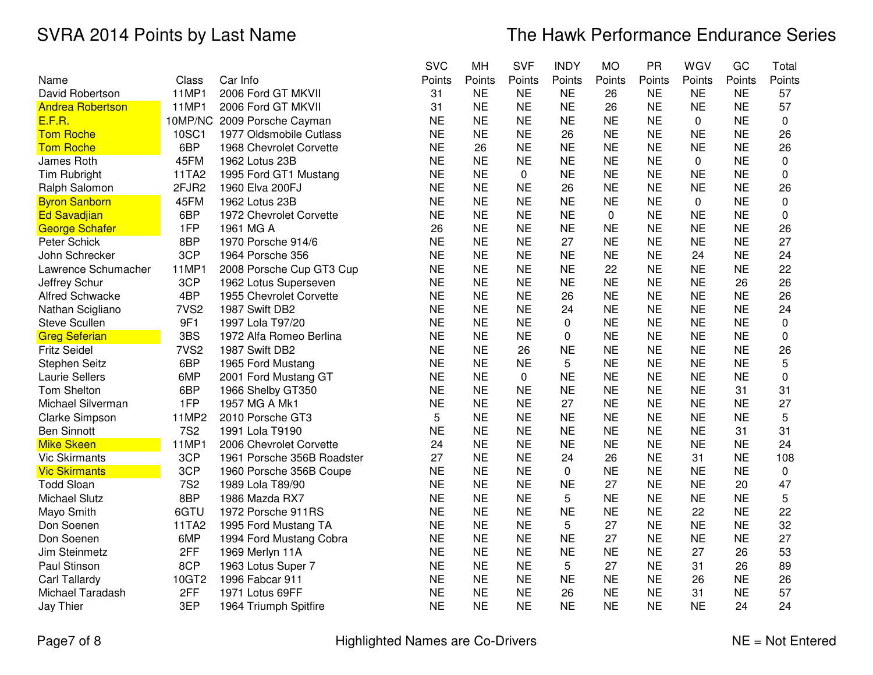|                         |                  |                             | <b>SVC</b> | MH        | <b>SVF</b>  | <b>INDY</b> | <b>MO</b>   | PR        | WGV       | GC        | Total     |
|-------------------------|------------------|-----------------------------|------------|-----------|-------------|-------------|-------------|-----------|-----------|-----------|-----------|
| Name                    | Class            | Car Info                    | Points     | Points    | Points      | Points      | Points      | Points    | Points    | Points    | Points    |
| David Robertson         | 11MP1            | 2006 Ford GT MKVII          | 31         | <b>NE</b> | <b>NE</b>   | <b>NE</b>   | 26          | <b>NE</b> | <b>NE</b> | <b>NE</b> | 57        |
| <b>Andrea Robertson</b> | 11MP1            | 2006 Ford GT MKVII          | 31         | <b>NE</b> | <b>NE</b>   | <b>NE</b>   | 26          | <b>NE</b> | <b>NE</b> | <b>NE</b> | 57        |
| <u>E.F.R.</u>           |                  | 10MP/NC 2009 Porsche Cayman | <b>NE</b>  | <b>NE</b> | <b>NE</b>   | <b>NE</b>   | <b>NE</b>   | <b>NE</b> | 0         | <b>NE</b> | 0         |
| <b>Tom Roche</b>        | 10SC1            | 1977 Oldsmobile Cutlass     | <b>NE</b>  | <b>NE</b> | <b>NE</b>   | 26          | <b>NE</b>   | <b>NE</b> | <b>NE</b> | <b>NE</b> | 26        |
| <b>Tom Roche</b>        | 6BP              | 1968 Chevrolet Corvette     | <b>NE</b>  | 26        | <b>NE</b>   | <b>NE</b>   | <b>NE</b>   | <b>NE</b> | <b>NE</b> | <b>NE</b> | 26        |
| James Roth              | 45FM             | 1962 Lotus 23B              | <b>NE</b>  | <b>NE</b> | <b>NE</b>   | <b>NE</b>   | <b>NE</b>   | <b>NE</b> | 0         | <b>NE</b> | 0         |
| Tim Rubright            | 11TA2            | 1995 Ford GT1 Mustang       | <b>NE</b>  | <b>NE</b> | 0           | <b>NE</b>   | <b>NE</b>   | <b>NE</b> | <b>NE</b> | <b>NE</b> | 0         |
| Ralph Salomon           | 2FJR2            | 1960 Elva 200FJ             | <b>NE</b>  | <b>NE</b> | <b>NE</b>   | 26          | <b>NE</b>   | <b>NE</b> | <b>NE</b> | <b>NE</b> | 26        |
| <b>Byron Sanborn</b>    | 45FM             | 1962 Lotus 23B              | <b>NE</b>  | <b>NE</b> | <b>NE</b>   | <b>NE</b>   | <b>NE</b>   | <b>NE</b> | 0         | <b>NE</b> | 0         |
| <b>Ed Savadjian</b>     | 6BP              | 1972 Chevrolet Corvette     | <b>NE</b>  | <b>NE</b> | <b>NE</b>   | <b>NE</b>   | $\mathbf 0$ | <b>NE</b> | <b>NE</b> | <b>NE</b> | 0         |
| George Schafer          | 1FP              | 1961 MG A                   | 26         | <b>NE</b> | <b>NE</b>   | <b>NE</b>   | <b>NE</b>   | <b>NE</b> | <b>NE</b> | <b>NE</b> | 26        |
| Peter Schick            | 8BP              | 1970 Porsche 914/6          | <b>NE</b>  | <b>NE</b> | <b>NE</b>   | 27          | <b>NE</b>   | <b>NE</b> | <b>NE</b> | <b>NE</b> | 27        |
| John Schrecker          | 3CP              | 1964 Porsche 356            | <b>NE</b>  | <b>NE</b> | <b>NE</b>   | <b>NE</b>   | <b>NE</b>   | <b>NE</b> | 24        | <b>NE</b> | 24        |
| Lawrence Schumacher     | 11MP1            | 2008 Porsche Cup GT3 Cup    | <b>NE</b>  | <b>NE</b> | <b>NE</b>   | <b>NE</b>   | 22          | <b>NE</b> | <b>NE</b> | <b>NE</b> | 22        |
| Jeffrey Schur           | 3CP              | 1962 Lotus Superseven       | <b>NE</b>  | <b>NE</b> | <b>NE</b>   | <b>NE</b>   | <b>NE</b>   | <b>NE</b> | <b>NE</b> | 26        | 26        |
| <b>Alfred Schwacke</b>  | 4BP              | 1955 Chevrolet Corvette     | <b>NE</b>  | <b>NE</b> | <b>NE</b>   | 26          | <b>NE</b>   | <b>NE</b> | <b>NE</b> | <b>NE</b> | 26        |
| Nathan Scigliano        | 7VS <sub>2</sub> | 1987 Swift DB2              | <b>NE</b>  | <b>NE</b> | <b>NE</b>   | 24          | <b>NE</b>   | <b>NE</b> | <b>NE</b> | <b>NE</b> | 24        |
| <b>Steve Scullen</b>    | 9F1              | 1997 Lola T97/20            | <b>NE</b>  | <b>NE</b> | <b>NE</b>   | $\mathbf 0$ | <b>NE</b>   | <b>NE</b> | <b>NE</b> | <b>NE</b> | 0         |
| <b>Greg Seferian</b>    | 3BS              | 1972 Alfa Romeo Berlina     | <b>NE</b>  | <b>NE</b> | <b>NE</b>   | 0           | <b>NE</b>   | <b>NE</b> | <b>NE</b> | <b>NE</b> | 0         |
| <b>Fritz Seidel</b>     | 7VS <sub>2</sub> | 1987 Swift DB2              | <b>NE</b>  | <b>NE</b> | 26          | <b>NE</b>   | <b>NE</b>   | <b>NE</b> | <b>NE</b> | <b>NE</b> | 26        |
| <b>Stephen Seitz</b>    | 6BP              | 1965 Ford Mustang           | <b>NE</b>  | <b>NE</b> | <b>NE</b>   | 5           | <b>NE</b>   | <b>NE</b> | <b>NE</b> | <b>NE</b> | 5         |
| Laurie Sellers          | 6MP              | 2001 Ford Mustang GT        | <b>NE</b>  | <b>NE</b> | $\mathbf 0$ | <b>NE</b>   | <b>NE</b>   | <b>NE</b> | <b>NE</b> | <b>NE</b> | $\pmb{0}$ |
| Tom Shelton             | 6BP              | 1966 Shelby GT350           | <b>NE</b>  | <b>NE</b> | <b>NE</b>   | <b>NE</b>   | <b>NE</b>   | <b>NE</b> | <b>NE</b> | 31        | 31        |
| Michael Silverman       | 1FP              | 1957 MG A Mk1               | <b>NE</b>  | <b>NE</b> | <b>NE</b>   | 27          | <b>NE</b>   | <b>NE</b> | <b>NE</b> | <b>NE</b> | 27        |
| <b>Clarke Simpson</b>   | 11MP2            | 2010 Porsche GT3            | 5          | <b>NE</b> | <b>NE</b>   | <b>NE</b>   | <b>NE</b>   | <b>NE</b> | <b>NE</b> | <b>NE</b> | 5         |
| <b>Ben Sinnott</b>      | <b>7S2</b>       | 1991 Lola T9190             | <b>NE</b>  | <b>NE</b> | <b>NE</b>   | <b>NE</b>   | <b>NE</b>   | <b>NE</b> | <b>NE</b> | 31        | 31        |
| <b>Mike Skeen</b>       | 11MP1            | 2006 Chevrolet Corvette     | 24         | <b>NE</b> | <b>NE</b>   | <b>NE</b>   | <b>NE</b>   | <b>NE</b> | <b>NE</b> | <b>NE</b> | 24        |
| <b>Vic Skirmants</b>    | 3CP              | 1961 Porsche 356B Roadster  | 27         | <b>NE</b> | <b>NE</b>   | 24          | 26          | <b>NE</b> | 31        | <b>NE</b> | 108       |
| <b>Vic Skirmants</b>    | 3CP              | 1960 Porsche 356B Coupe     | <b>NE</b>  | <b>NE</b> | <b>NE</b>   | 0           | <b>NE</b>   | <b>NE</b> | <b>NE</b> | <b>NE</b> | 0         |
| <b>Todd Sloan</b>       | <b>7S2</b>       | 1989 Lola T89/90            | <b>NE</b>  | <b>NE</b> | <b>NE</b>   | <b>NE</b>   | 27          | <b>NE</b> | <b>NE</b> | 20        | 47        |
| Michael Slutz           | 8BP              | 1986 Mazda RX7              | <b>NE</b>  | <b>NE</b> | <b>NE</b>   | 5           | <b>NE</b>   | <b>NE</b> | <b>NE</b> | <b>NE</b> | 5         |
| Mayo Smith              | 6GTU             | 1972 Porsche 911RS          | <b>NE</b>  | <b>NE</b> | <b>NE</b>   | <b>NE</b>   | <b>NE</b>   | <b>NE</b> | 22        | <b>NE</b> | 22        |
| Don Soenen              | 11TA2            | 1995 Ford Mustang TA        | <b>NE</b>  | <b>NE</b> | <b>NE</b>   | 5           | 27          | <b>NE</b> | <b>NE</b> | <b>NE</b> | 32        |
| Don Soenen              | 6MP              | 1994 Ford Mustang Cobra     | <b>NE</b>  | <b>NE</b> | <b>NE</b>   | <b>NE</b>   | 27          | <b>NE</b> | <b>NE</b> | <b>NE</b> | 27        |
| Jim Steinmetz           | 2FF              | 1969 Merlyn 11A             | <b>NE</b>  | <b>NE</b> | <b>NE</b>   | <b>NE</b>   | <b>NE</b>   | <b>NE</b> | 27        | 26        | 53        |
| Paul Stinson            | 8CP              | 1963 Lotus Super 7          | <b>NE</b>  | <b>NE</b> | <b>NE</b>   | 5           | 27          | <b>NE</b> | 31        | 26        | 89        |
| Carl Tallardy           | 10GT2            | 1996 Fabcar 911             | <b>NE</b>  | <b>NE</b> | <b>NE</b>   | <b>NE</b>   | <b>NE</b>   | <b>NE</b> | 26        | <b>NE</b> | 26        |
| Michael Taradash        | 2FF              | 1971 Lotus 69FF             | <b>NE</b>  | <b>NE</b> | <b>NE</b>   | 26          | <b>NE</b>   | <b>NE</b> | 31        | <b>NE</b> | 57        |
| <b>Jay Thier</b>        | 3EP              | 1964 Triumph Spitfire       | <b>NE</b>  | <b>NE</b> | <b>NE</b>   | <b>NE</b>   | <b>NE</b>   | <b>NE</b> | <b>NE</b> | 24        | 24        |

Page7 of 8